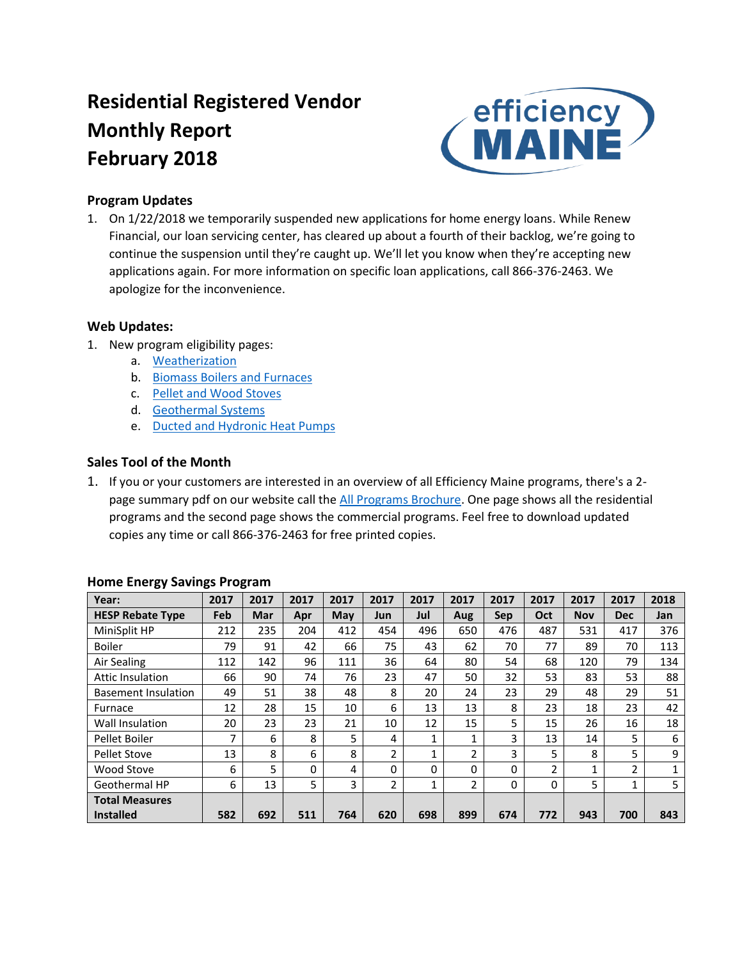# **Residential Registered Vendor Monthly Report February 2018**



### **Program Updates**

1. On 1/22/2018 we temporarily suspended new applications for home energy loans. While Renew Financial, our loan servicing center, has cleared up about a fourth of their backlog, we're going to continue the suspension until they're caught up. We'll let you know when they're accepting new applications again. For more information on specific loan applications, call 866-376-2463. We apologize for the inconvenience.

#### **Web Updates:**

- 1. New program eligibility pages:
	- a. [Weatherization](https://www.efficiencymaine.com/at-home/weatherization/)
	- b. [Biomass Boilers and Furnaces](https://www.efficiencymaine.com/at-home/biomass-boilers-furnaces/)
	- c. [Pellet and Wood Stoves](https://www.efficiencymaine.com/at-home/pelletwood-stoves/)
	- d. [Geothermal Systems](https://www.efficiencymaine.com/at-home/geothermal/)
	- e. [Ducted and Hydronic Heat Pumps](https://www.efficiencymaine.com/at-home/ducted-hydronic-heat-pumps/)

### **Sales Tool of the Month**

1. If you or your customers are interested in an overview of all Efficiency Maine programs, there's a 2- page summary pdf on our website call the [All Programs Brochure.](https://www.efficiencymaine.com/docs/All-Programs-Brochure.pdf) One page shows all the residential programs and the second page shows the commercial programs. Feel free to download updated copies any time or call 866-376-2463 for free printed copies.

| Year:                      | 2017 | 2017 | 2017 | 2017 | 2017           | 2017         | 2017         | 2017 | 2017 | 2017       | 2017           | 2018 |
|----------------------------|------|------|------|------|----------------|--------------|--------------|------|------|------------|----------------|------|
| <b>HESP Rebate Type</b>    | Feb  | Mar  | Apr  | May  | Jun            | Jul          | Aug          | Sep  | Oct  | <b>Nov</b> | <b>Dec</b>     | Jan  |
| MiniSplit HP               | 212  | 235  | 204  | 412  | 454            | 496          | 650          | 476  | 487  | 531        | 417            | 376  |
| <b>Boiler</b>              | 79   | 91   | 42   | 66   | 75             | 43           | 62           | 70   | 77   | 89         | 70             | 113  |
| Air Sealing                | 112  | 142  | 96   | 111  | 36             | 64           | 80           | 54   | 68   | 120        | 79             | 134  |
| <b>Attic Insulation</b>    | 66   | 90   | 74   | 76   | 23             | 47           | 50           | 32   | 53   | 83         | 53             | 88   |
| <b>Basement Insulation</b> | 49   | 51   | 38   | 48   | 8              | 20           | 24           | 23   | 29   | 48         | 29             | 51   |
| Furnace                    | 12   | 28   | 15   | 10   | 6              | 13           | 13           | 8    | 23   | 18         | 23             | 42   |
| Wall Insulation            | 20   | 23   | 23   | 21   | 10             | 12           | 15           | 5    | 15   | 26         | 16             | 18   |
| Pellet Boiler              | 7    | 6    | 8    | 5    | 4              | $\mathbf{1}$ | $\mathbf{1}$ | 3    | 13   | 14         | 5              | 6    |
| Pellet Stove               | 13   | 8    | 6    | 8    | 2              | 1            | 2            | 3    | 5    | 8          | 5              | 9    |
| Wood Stove                 | 6    | 5    | 0    | 4    | 0              | $\Omega$     | $\Omega$     | 0    | 2    | 1          | $\overline{2}$ |      |
| Geothermal HP              | 6    | 13   | 5    | 3    | $\overline{2}$ | 1            | 2            | 0    | 0    | 5          | 1              | 5    |
| <b>Total Measures</b>      |      |      |      |      |                |              |              |      |      |            |                |      |
| <b>Installed</b>           | 582  | 692  | 511  | 764  | 620            | 698          | 899          | 674  | 772  | 943        | 700            | 843  |

#### **Home Energy Savings Program**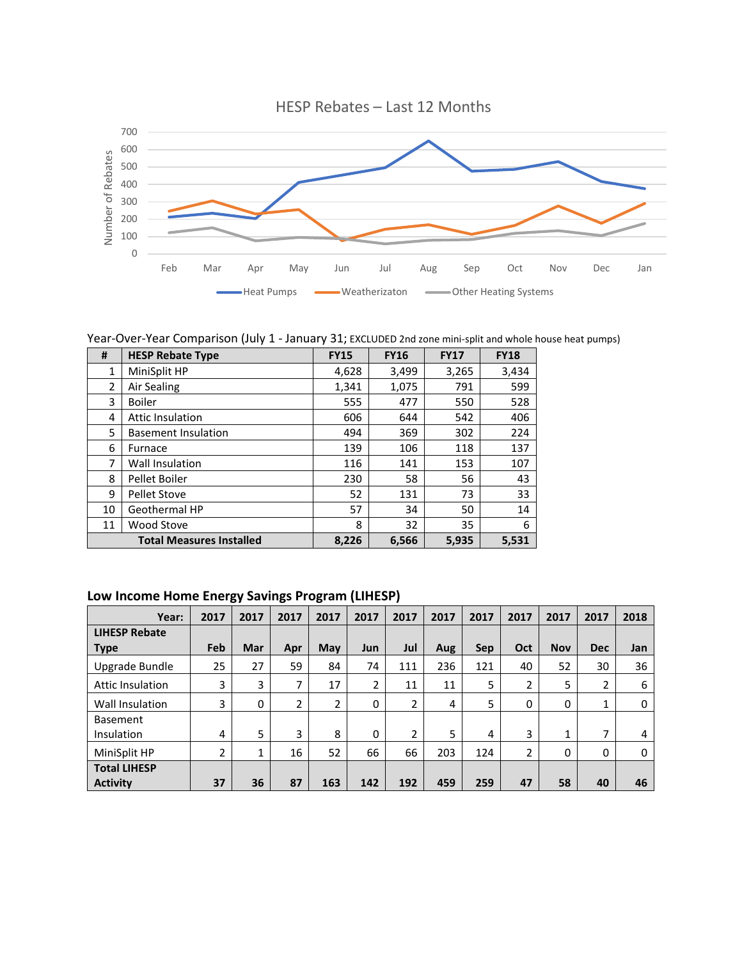

Year-Over-Year Comparison (July 1 - January 31; EXCLUDED 2nd zone mini-split and whole house heat pumps)

| #              | <b>HESP Rebate Type</b>         | <b>FY15</b> | <b>FY16</b> | <b>FY17</b> | <b>FY18</b> |
|----------------|---------------------------------|-------------|-------------|-------------|-------------|
| 1              | MiniSplit HP                    | 4,628       | 3,499       | 3,265       | 3,434       |
| $\overline{2}$ | Air Sealing                     | 1,341       | 1,075       | 791         | 599         |
| 3              | <b>Boiler</b>                   | 555         | 477         | 550         | 528         |
| 4              | <b>Attic Insulation</b>         | 606         | 644         | 542         | 406         |
| 5              | <b>Basement Insulation</b>      | 494         | 369         | 302         | 224         |
| 6              | Furnace                         | 139         | 106         | 118         | 137         |
| 7              | Wall Insulation                 | 116         | 141         | 153         | 107         |
| 8              | Pellet Boiler                   | 230         | 58          | 56          | 43          |
| 9              | <b>Pellet Stove</b>             | 52          | 131         | 73          | 33          |
| 10             | Geothermal HP                   | 57          | 34          | 50          | 14          |
| 11             | Wood Stove                      | 8           | 32          | 35          | 6           |
|                | <b>Total Measures Installed</b> | 8,226       | 6,566       | 5,935       | 5,531       |

## **Low Income Home Energy Savings Program (LIHESP)**

| Year:                   | 2017 | 2017 | 2017 | 2017           | 2017 | 2017           | 2017 | 2017 | 2017        | 2017       | 2017       | 2018 |
|-------------------------|------|------|------|----------------|------|----------------|------|------|-------------|------------|------------|------|
| <b>LIHESP Rebate</b>    |      |      |      |                |      |                |      |      |             |            |            |      |
| <b>Type</b>             | Feb  | Mar  | Apr  | May            | Jun  | Jul            | Aug  | Sep  | Oct         | <b>Nov</b> | <b>Dec</b> | Jan  |
| Upgrade Bundle          | 25   | 27   | 59   | 84             | 74   | 111            | 236  | 121  | 40          | 52         | 30         | 36   |
| <b>Attic Insulation</b> | 3    | 3    | 7    | 17             | 2    | 11             | 11   | 5    | 2           | 5          | 2          | 6    |
| Wall Insulation         | 3    | 0    | 2    | $\overline{2}$ | 0    | $\overline{2}$ | 4    | 5    | $\mathbf 0$ | 0          | 1          | 0    |
| <b>Basement</b>         |      |      |      |                |      |                |      |      |             |            |            |      |
| Insulation              | 4    | 5    | 3    | 8              | 0    | $\mathfrak z$  | 5    | 4    | 3           | 1          | 7          | 4    |
| MiniSplit HP            | 2    | 1    | 16   | 52             | 66   | 66             | 203  | 124  | 2           | 0          | $\Omega$   | 0    |
| <b>Total LIHESP</b>     |      |      |      |                |      |                |      |      |             |            |            |      |
| <b>Activity</b>         | 37   | 36   | 87   | 163            | 142  | 192            | 459  | 259  | 47          | 58         | 40         | 46   |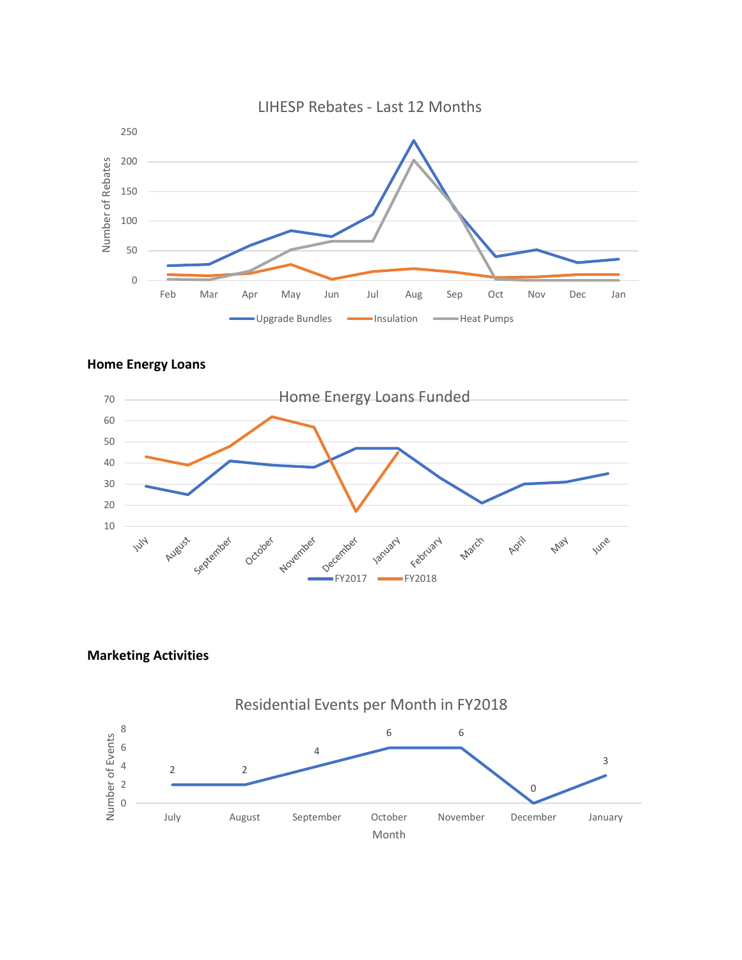





**Marketing Activities**